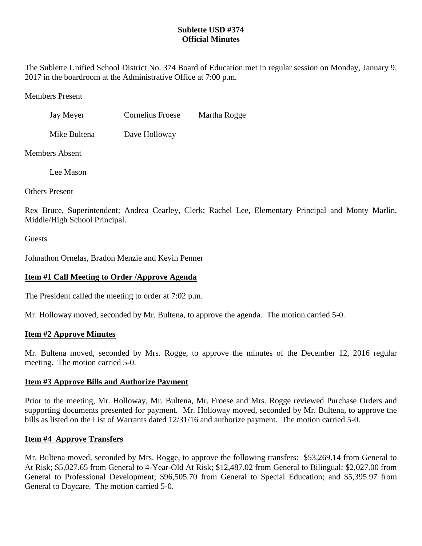## **Sublette USD #374 Official Minutes**

The Sublette Unified School District No. 374 Board of Education met in regular session on Monday, January 9, 2017 in the boardroom at the Administrative Office at 7:00 p.m.

Members Present

| Jay Meyer | Cornelius Froese | Martha Rogge |
|-----------|------------------|--------------|
|           |                  |              |

Mike Bultena Dave Holloway

Members Absent

Lee Mason

Others Present

Rex Bruce, Superintendent; Andrea Cearley, Clerk; Rachel Lee, Elementary Principal and Monty Marlin, Middle/High School Principal.

**Guests** 

Johnathon Ornelas, Bradon Menzie and Kevin Penner

# **Item #1 Call Meeting to Order /Approve Agenda**

The President called the meeting to order at 7:02 p.m.

Mr. Holloway moved, seconded by Mr. Bultena, to approve the agenda. The motion carried 5-0.

## **Item #2 Approve Minutes**

Mr. Bultena moved, seconded by Mrs. Rogge, to approve the minutes of the December 12, 2016 regular meeting. The motion carried 5-0.

# **Item #3 Approve Bills and Authorize Payment**

Prior to the meeting, Mr. Holloway, Mr. Bultena, Mr. Froese and Mrs. Rogge reviewed Purchase Orders and supporting documents presented for payment. Mr. Holloway moved, seconded by Mr. Bultena, to approve the bills as listed on the List of Warrants dated 12/31/16 and authorize payment. The motion carried 5-0.

## **Item #4 Approve Transfers**

Mr. Bultena moved, seconded by Mrs. Rogge, to approve the following transfers: \$53,269.14 from General to At Risk; \$5,027.65 from General to 4-Year-Old At Risk; \$12,487.02 from General to Bilingual; \$2,027.00 from General to Professional Development; \$96,505.70 from General to Special Education; and \$5,395.97 from General to Daycare. The motion carried 5-0.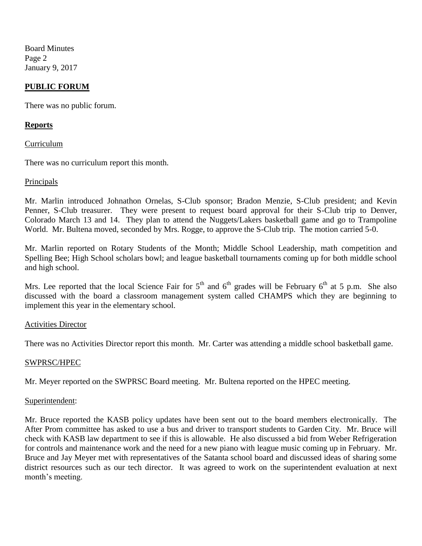Board Minutes Page 2 January 9, 2017

### **PUBLIC FORUM**

There was no public forum.

### **Reports**

Curriculum

There was no curriculum report this month.

#### Principals

Mr. Marlin introduced Johnathon Ornelas, S-Club sponsor; Bradon Menzie, S-Club president; and Kevin Penner, S-Club treasurer. They were present to request board approval for their S-Club trip to Denver, Colorado March 13 and 14. They plan to attend the Nuggets/Lakers basketball game and go to Trampoline World. Mr. Bultena moved, seconded by Mrs. Rogge, to approve the S-Club trip. The motion carried 5-0.

Mr. Marlin reported on Rotary Students of the Month; Middle School Leadership, math competition and Spelling Bee; High School scholars bowl; and league basketball tournaments coming up for both middle school and high school.

Mrs. Lee reported that the local Science Fair for  $5<sup>th</sup>$  and  $6<sup>th</sup>$  grades will be February  $6<sup>th</sup>$  at 5 p.m. She also discussed with the board a classroom management system called CHAMPS which they are beginning to implement this year in the elementary school.

#### Activities Director

There was no Activities Director report this month. Mr. Carter was attending a middle school basketball game.

#### SWPRSC/HPEC

Mr. Meyer reported on the SWPRSC Board meeting. Mr. Bultena reported on the HPEC meeting.

#### Superintendent:

Mr. Bruce reported the KASB policy updates have been sent out to the board members electronically. The After Prom committee has asked to use a bus and driver to transport students to Garden City. Mr. Bruce will check with KASB law department to see if this is allowable. He also discussed a bid from Weber Refrigeration for controls and maintenance work and the need for a new piano with league music coming up in February. Mr. Bruce and Jay Meyer met with representatives of the Satanta school board and discussed ideas of sharing some district resources such as our tech director. It was agreed to work on the superintendent evaluation at next month's meeting.